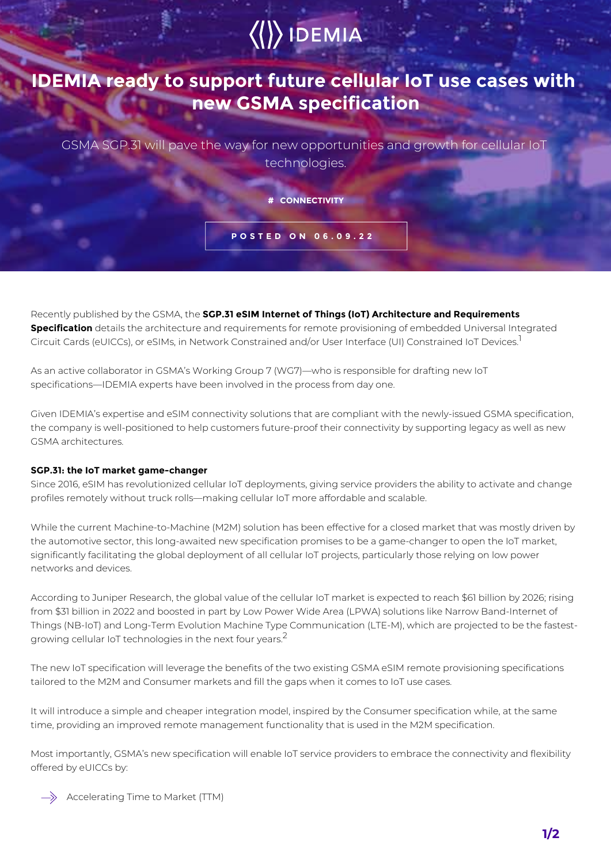## $\langle\langle\rangle\rangle$  IDEMIA

## **IDEMIA ready to support future cellular IoT use cases with new GSMA specification**

GSMA SGP.31 will pave the way for new opportunities and growth for cellular IoT technologies.

**# CONNECTIVITY**

**POSTED ON 06.09.22**

Recently published by the GSMA, the **SGP.31 eSIM Internet of Things (IoT) Architecture and Requirements Specification** details the architecture and requirements for remote provisioning of embedded Universal Integrated Circuit Cards (eUICCs), or eSIMs, in Network Constrained and/or User Interface (UI) Constrained IoT Devices.<sup>1</sup>

As an active collaborator in GSMA's Working Group 7 (WG7)—who is responsible for drafting new IoT specifications—IDEMIA experts have been involved in the process from day one.

Given IDEMIA's expertise and eSIM connectivity solutions that are compliant with the newly-issued GSMA specification, the company is well-positioned to help customers future-proof their connectivity by supporting legacy as well as new GSMA architectures.

## **SGP.31: the IoT market game-changer**

Since 2016, eSIM has revolutionized cellular IoT deployments, giving service providers the ability to activate and change profiles remotely without truck rolls—making cellular IoT more affordable and scalable.

While the current Machine-to-Machine (M2M) solution has been effective for a closed market that was mostly driven by the automotive sector, this long-awaited new specification promises to be a game-changer to open the IoT market, significantly facilitating the global deployment of all cellular IoT projects, particularly those relying on low power networks and devices.

According to Juniper Research, the global value of the cellular IoT market is expected to reach \$61 billion by 2026; rising from \$31 billion in 2022 and boosted in part by Low Power Wide Area (LPWA) solutions like Narrow Band-Internet of Things (NB-IoT) and Long-Term Evolution Machine Type Communication (LTE-M), which are projected to be the fastestgrowing cellular IoT technologies in the next four years.<sup>2</sup>

The new IoT specification will leverage the benefits of the two existing GSMA eSIM remote provisioning specifications tailored to the M2M and Consumer markets and fill the gaps when it comes to IoT use cases.

It will introduce a simple and cheaper integration model, inspired by the Consumer specification while, at the same time, providing an improved remote management functionality that is used in the M2M specification.

Most importantly, GSMA's new specification will enable IoT service providers to embrace the connectivity and flexibility offered by eUICCs by:

 $\Rightarrow$  Accelerating Time to Market (TTM)